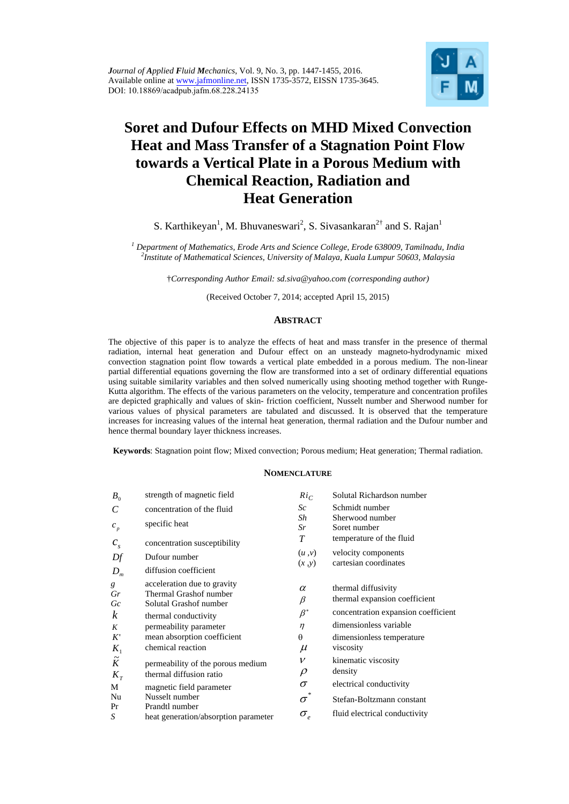

# **Soret and Dufour Effects on MHD Mixed Convection Heat and Mass Transfer of a Stagnation Point Flow towards a Vertical Plate in a Porous Medium with Chemical Reaction, Radiation and Heat Generation**

S. Karthikeyan<sup>1</sup>, M. Bhuvaneswari<sup>2</sup>, S. Sivasankaran<sup>2†</sup> and S. Rajan<sup>1</sup>

<sup>1</sup> Department of Mathematics, Erode Arts and Science College, Erode 638009, Tamilnadu, India <sup>2</sup>Institute of Mathematical Sciences, University of Malays, Kyala Lympus 50603, Malaysia *Institute of Mathematical Sciences, University of Malaya, Kuala Lumpur 50603, Malaysia* 

†*Corresponding Author Email: sd.siva@yahoo.com (corresponding author)*

(Received October 7, 2014; accepted April 15, 2015)

# **ABSTRACT**

The objective of this paper is to analyze the effects of heat and mass transfer in the presence of thermal radiation, internal heat generation and Dufour effect on an unsteady magneto-hydrodynamic mixed convection stagnation point flow towards a vertical plate embedded in a porous medium. The non-linear partial differential equations governing the flow are transformed into a set of ordinary differential equations using suitable similarity variables and then solved numerically using shooting method together with Runge-Kutta algorithm. The effects of the various parameters on the velocity, temperature and concentration profiles are depicted graphically and values of skin- friction coefficient, Nusselt number and Sherwood number for various values of physical parameters are tabulated and discussed. It is observed that the temperature increases for increasing values of the internal heat generation, thermal radiation and the Dufour number and hence thermal boundary layer thickness increases.

**Keywords**: Stagnation point flow; Mixed convection; Porous medium; Heat generation; Thermal radiation.

## **NOMENCLATURE**

| $B_0$       | strength of magnetic field                            | $Ri_C$              | Solutal Richardson number                            |
|-------------|-------------------------------------------------------|---------------------|------------------------------------------------------|
| C           | concentration of the fluid                            | Sc                  | Schmidt number                                       |
| $c_p$       | specific heat                                         | Sh<br>Sr            | Sherwood number<br>Soret number                      |
| $c_{s}$     | concentration susceptibility                          | T                   | temperature of the fluid                             |
| Df          | Dufour number                                         | (u, v)              | velocity components                                  |
| $D_m$       | diffusion coefficient                                 | (x, y)              | cartesian coordinates                                |
| g<br>Gr     | acceleration due to gravity<br>Thermal Grashof number | $\alpha$<br>$\beta$ | thermal diffusivity<br>thermal expansion coefficient |
| Gc<br>k     | Solutal Grashof number<br>thermal conductivity        | $\beta^*$           | concentration expansion coefficient                  |
| K           | permeability parameter                                | $\eta$              | dimensionless variable                               |
| K'          | mean absorption coefficient                           | $\theta$            | dimensionless temperature                            |
| $K_1$       | chemical reaction                                     | $\mu$               | viscosity                                            |
| $\tilde{K}$ | permeability of the porous medium                     | $\mathcal V$        | kinematic viscosity                                  |
| $K_{\tau}$  | thermal diffusion ratio                               | $\rho$              | density                                              |
| М           | magnetic field parameter                              | $\sigma$            | electrical conductivity                              |
| Nu          | Nusselt number                                        | 米<br>$\sigma$       | Stefan-Boltzmann constant                            |
| Pr          | Prandtl number                                        |                     | fluid electrical conductivity                        |
| S           | heat generation/absorption parameter                  | $\sigma_{_e}$       |                                                      |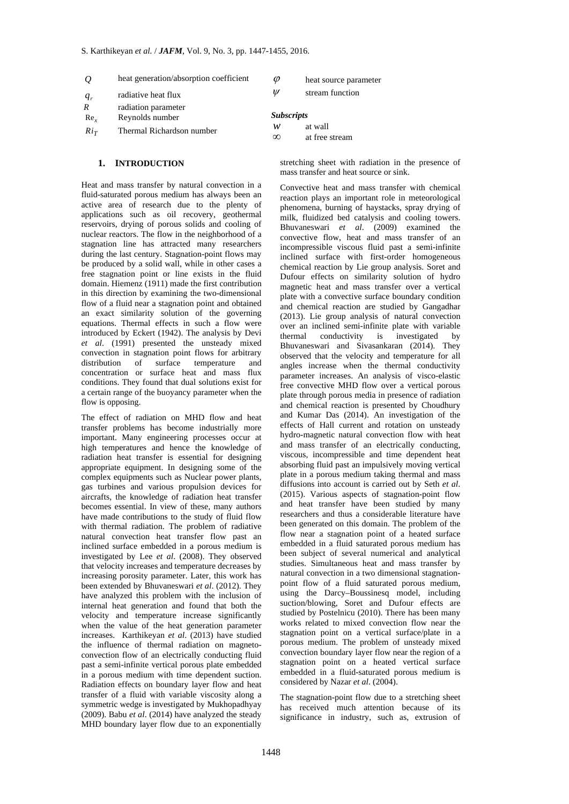- *Q* heat generation/absorption coefficient
- *q<sub>r</sub>* radiative heat flux
- *R* radiation parameter
- Re*x* Reynolds number

 $Ri_T$  Thermal Richardson number

- *Subscripts*
- *w* at wall
	- at free stream

 $\varphi$  heat source parameter  $W =$ stream function

# **1. INTRODUCTION**

Heat and mass transfer by natural convection in a fluid-saturated porous medium has always been an active area of research due to the plenty of applications such as oil recovery, geothermal reservoirs, drying of porous solids and cooling of nuclear reactors. The flow in the neighborhood of a stagnation line has attracted many researchers during the last century. Stagnation-point flows may be produced by a solid wall, while in other cases a free stagnation point or line exists in the fluid domain. Hiemenz (1911) made the first contribution in this direction by examining the two-dimensional flow of a fluid near a stagnation point and obtained an exact similarity solution of the governing equations. Thermal effects in such a flow were introduced by Eckert (1942). The analysis by Devi *et al*. (1991) presented the unsteady mixed convection in stagnation point flows for arbitrary distribution of surface temperature and concentration or surface heat and mass flux conditions. They found that dual solutions exist for a certain range of the buoyancy parameter when the flow is opposing.

The effect of radiation on MHD flow and heat transfer problems has become industrially more important. Many engineering processes occur at high temperatures and hence the knowledge of radiation heat transfer is essential for designing appropriate equipment. In designing some of the complex equipments such as Nuclear power plants, gas turbines and various propulsion devices for aircrafts, the knowledge of radiation heat transfer becomes essential. In view of these, many authors have made contributions to the study of fluid flow with thermal radiation. The problem of radiative natural convection heat transfer flow past an inclined surface embedded in a porous medium is investigated by Lee *et al*. (2008). They observed that velocity increases and temperature decreases by increasing porosity parameter. Later, this work has been extended by Bhuvaneswari *et al*. (2012). They have analyzed this problem with the inclusion of internal heat generation and found that both the velocity and temperature increase significantly when the value of the heat generation parameter increases. Karthikeyan *et al*. (2013) have studied the influence of thermal radiation on magnetoconvection flow of an electrically conducting fluid past a semi-infinite vertical porous plate embedded in a porous medium with time dependent suction. Radiation effects on boundary layer flow and heat transfer of a fluid with variable viscosity along a symmetric wedge is investigated by Mukhopadhyay (2009). Babu *et al*. (2014) have analyzed the steady MHD boundary layer flow due to an exponentially

stretching sheet with radiation in the presence of mass transfer and heat source or sink.

Convective heat and mass transfer with chemical reaction plays an important role in meteorological phenomena, burning of haystacks, spray drying of milk, fluidized bed catalysis and cooling towers. Bhuvaneswari *et al*. (2009) examined the convective flow, heat and mass transfer of an incompressible viscous fluid past a semi-infinite inclined surface with first-order homogeneous chemical reaction by Lie group analysis. Soret and Dufour effects on similarity solution of hydro magnetic heat and mass transfer over a vertical plate with a convective surface boundary condition and chemical reaction are studied by Gangadhar (2013). Lie group analysis of natural convection over an inclined semi-infinite plate with variable thermal conductivity is investigated by Bhuvaneswari and Sivasankaran (2014). They observed that the velocity and temperature for all angles increase when the thermal conductivity parameter increases. An analysis of visco-elastic free convective MHD flow over a vertical porous plate through porous media in presence of radiation and chemical reaction is presented by Choudhury and Kumar Das (2014). An investigation of the effects of Hall current and rotation on unsteady hydro-magnetic natural convection flow with heat and mass transfer of an electrically conducting, viscous, incompressible and time dependent heat absorbing fluid past an impulsively moving vertical plate in a porous medium taking thermal and mass diffusions into account is carried out by Seth *et al*. (2015). Various aspects of stagnation-point flow and heat transfer have been studied by many researchers and thus a considerable literature have been generated on this domain. The problem of the flow near a stagnation point of a heated surface embedded in a fluid saturated porous medium has been subject of several numerical and analytical studies. Simultaneous heat and mass transfer by natural convection in a two dimensional stagnationpoint flow of a fluid saturated porous medium, using the Darcy–Boussinesq model, including suction/blowing, Soret and Dufour effects are studied by Postelnicu (2010). There has been many works related to mixed convection flow near the stagnation point on a vertical surface/plate in a porous medium. The problem of unsteady mixed convection boundary layer flow near the region of a stagnation point on a heated vertical surface embedded in a fluid-saturated porous medium is considered by Nazar *et al*. (2004).

The stagnation-point flow due to a stretching sheet has received much attention because of its significance in industry, such as, extrusion of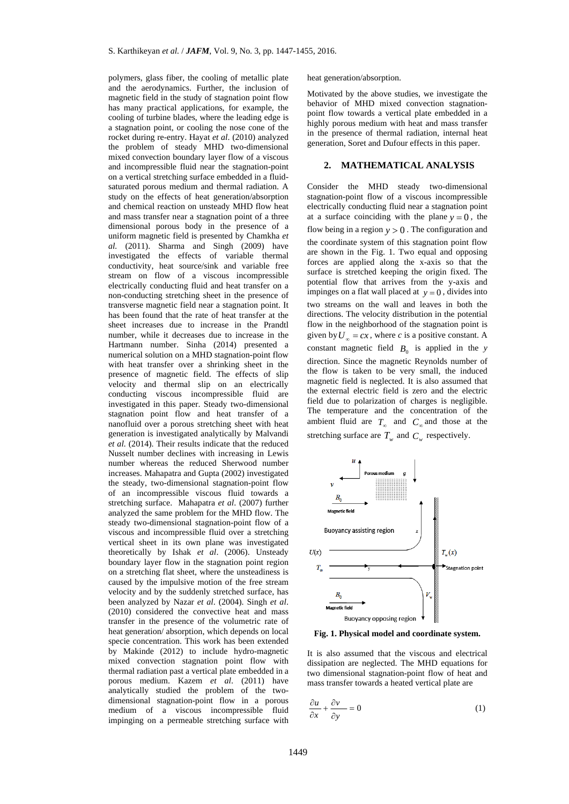polymers, glass fiber, the cooling of metallic plate and the aerodynamics. Further, the inclusion of magnetic field in the study of stagnation point flow has many practical applications, for example, the cooling of turbine blades, where the leading edge is a stagnation point, or cooling the nose cone of the rocket during re-entry. Hayat *et al*. (2010) analyzed the problem of steady MHD two-dimensional mixed convection boundary layer flow of a viscous and incompressible fluid near the stagnation-point on a vertical stretching surface embedded in a fluidsaturated porous medium and thermal radiation. A study on the effects of heat generation/absorption and chemical reaction on unsteady MHD flow heat and mass transfer near a stagnation point of a three dimensional porous body in the presence of a uniform magnetic field is presented by Chamkha *et al.* (2011). Sharma and Singh (2009) have investigated the effects of variable thermal conductivity, heat source/sink and variable free stream on flow of a viscous incompressible electrically conducting fluid and heat transfer on a non-conducting stretching sheet in the presence of transverse magnetic field near a stagnation point. It has been found that the rate of heat transfer at the sheet increases due to increase in the Prandtl number, while it decreases due to increase in the Hartmann number. Sinha (2014) presented a numerical solution on a MHD stagnation-point flow with heat transfer over a shrinking sheet in the presence of magnetic field. The effects of slip velocity and thermal slip on an electrically conducting viscous incompressible fluid are investigated in this paper. Steady two-dimensional stagnation point flow and heat transfer of a nanofluid over a porous stretching sheet with heat generation is investigated analytically by Malvandi *et al.* (2014). Their results indicate that the reduced Nusselt number declines with increasing in Lewis number whereas the reduced Sherwood number increases. Mahapatra and Gupta (2002) investigated the steady, two-dimensional stagnation-point flow of an incompressible viscous fluid towards a stretching surface. Mahapatra *et al*. (2007) further analyzed the same problem for the MHD flow. The steady two-dimensional stagnation-point flow of a viscous and incompressible fluid over a stretching vertical sheet in its own plane was investigated theoretically by Ishak *et al*. (2006). Unsteady boundary layer flow in the stagnation point region on a stretching flat sheet, where the unsteadiness is caused by the impulsive motion of the free stream velocity and by the suddenly stretched surface, has been analyzed by Nazar *et al*. (2004). Singh *et al*. (2010) considered the convective heat and mass transfer in the presence of the volumetric rate of heat generation/ absorption, which depends on local specie concentration. This work has been extended by Makinde (2012) to include hydro-magnetic mixed convection stagnation point flow with thermal radiation past a vertical plate embedded in a porous medium. Kazem *et al*. (2011) have analytically studied the problem of the twodimensional stagnation-point flow in a porous medium of a viscous incompressible fluid impinging on a permeable stretching surface with

heat generation/absorption.

Motivated by the above studies, we investigate the behavior of MHD mixed convection stagnationpoint flow towards a vertical plate embedded in a highly porous medium with heat and mass transfer in the presence of thermal radiation, internal heat generation, Soret and Dufour effects in this paper.

## **2. MATHEMATICAL ANALYSIS**

Consider the MHD steady two-dimensional stagnation-point flow of a viscous incompressible electrically conducting fluid near a stagnation point at a surface coinciding with the plane  $y = 0$ , the flow being in a region  $y > 0$ . The configuration and the coordinate system of this stagnation point flow are shown in the Fig. 1. Two equal and opposing forces are applied along the x-axis so that the surface is stretched keeping the origin fixed. The potential flow that arrives from the y-axis and impinges on a flat wall placed at  $y = 0$ , divides into two streams on the wall and leaves in both the directions. The velocity distribution in the potential flow in the neighborhood of the stagnation point is given by  $U_{\infty} = cx$ , where *c* is a positive constant. A constant magnetic field  $B_0$  is applied in the *y* direction. Since the magnetic Reynolds number of the flow is taken to be very small, the induced magnetic field is neglected. It is also assumed that the external electric field is zero and the electric field due to polarization of charges is negligible. The temperature and the concentration of the ambient fluid are  $T_{\infty}$  and  $C_{\infty}$  and those at the stretching surface are  $T_w$  and  $C_w$  respectively.



**Fig. 1. Physical model and coordinate system.** 

It is also assumed that the viscous and electrical dissipation are neglected. The MHD equations for two dimensional stagnation-point flow of heat and mass transfer towards a heated vertical plate are

$$
\frac{\partial u}{\partial x} + \frac{\partial v}{\partial y} = 0 \tag{1}
$$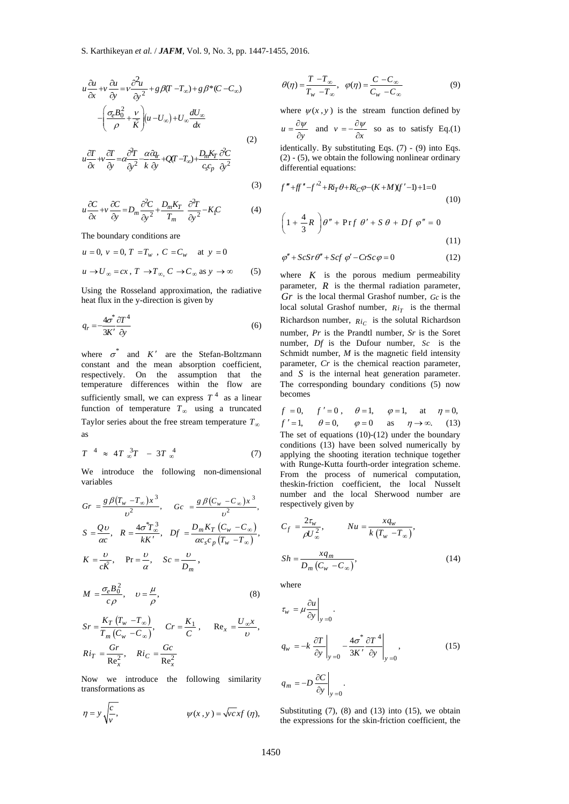(3)

$$
u\frac{\partial u}{\partial x} + v\frac{\partial u}{\partial y} = v\frac{\partial^2 u}{\partial y^2} + g\beta(T - T_{\infty}) + g\beta^*(C - C_{\infty})
$$

$$
-\left(\frac{\sigma_e B_0^2}{\rho} + \frac{v}{\tilde{K}}\right)(u - U_{\infty}) + U_{\infty}\frac{dU_{\infty}}{dx}
$$
(2)

$$
u\frac{\partial T}{\partial x} + v\frac{\partial T}{\partial y} = \alpha \frac{\partial^2 T}{\partial y^2} - \frac{\alpha \hat{a}_{dr}}{k} + Q(T - T_{\infty}) + \frac{D_m K_T}{c_{s}c_p} \frac{\partial^2 C}{\partial y^2}
$$

$$
u\frac{\partial C}{\partial x} + v\frac{\partial C}{\partial y} = D_m \frac{\partial^2 C}{\partial y^2} + \frac{D_m K_T}{T_m} \frac{\partial^2 T}{\partial y^2} - K_f C
$$
 (4)

The boundary conditions are

$$
u = 0, v = 0, T = T_w, C = C_w \text{ at } y = 0
$$
  

$$
u \rightarrow U_{\infty} = cx, T \rightarrow T_{\infty}, C \rightarrow C_{\infty} \text{ as } y \rightarrow \infty
$$
 (5)

Using the Rosseland approximation, the radiative heat flux in the y-direction is given by

$$
q_r = \frac{4\sigma^*}{3K'} \frac{\partial T^4}{\partial y} \tag{6}
$$

where  $\sigma^*$  and  $K'$  are the Stefan-Boltzmann constant and the mean absorption coefficient, respectively. On the assumption that the temperature differences within the flow are sufficiently small, we can express  $T<sup>4</sup>$  as a linear function of temperature  $T_{\infty}$  using a truncated Taylor series about the free stream temperature  $T_\infty$ as

$$
T^{-4} \approx 4T \, \frac{3}{2}T - 3T \, \frac{4}{2} \tag{7}
$$

We introduce the following non-dimensional variables

$$
Gr = \frac{g \beta (T_w - T_{\infty})x^3}{\nu^2}, \quad Gc = \frac{g \beta (C_w - C_{\infty})x^3}{\nu^2},
$$
  
\n
$$
S = \frac{Q\upsilon}{\alpha c}, \quad R = \frac{4\sigma^* T_{\infty}^3}{kK'}, \quad Df = \frac{D_m K_T (C_w - C_{\infty})}{\alpha c_s c_p (T_w - T_{\infty})},
$$
  
\n
$$
K = \frac{\upsilon}{c\tilde{K}}, \quad \text{Pr} = \frac{\upsilon}{\alpha}, \quad Sc = \frac{\upsilon}{D_m},
$$

$$
M = \frac{\sigma_e B_0^2}{c\rho}, \quad \upsilon = \frac{\mu}{\rho}, \tag{8}
$$

$$
Sr = \frac{K_T (T_w - T_\infty)}{T_m (C_w - C_\infty)}, \quad Cr = \frac{K_1}{C}, \quad \text{Re}_x = \frac{U_\infty x}{\nu},
$$
  

$$
Ri_T = \frac{Gr}{\text{Re}_x^2}, \quad Ri_C = \frac{Gc}{\text{Re}_x^2}
$$

Now we introduce the following similarity transformations as

$$
\eta = y \sqrt{\frac{c}{v}}, \qquad \psi(x, y) = \sqrt{v} \csc f(\eta),
$$

$$
\theta(\eta) = \frac{T - T_{\infty}}{T_w - T_{\infty}}, \quad \varphi(\eta) = \frac{C - C_{\infty}}{C_w - C_{\infty}} \tag{9}
$$

where  $\psi(x, y)$  is the stream function defined by

 $u = \frac{\partial \psi}{\partial y}$  and  $v = -\frac{\partial \psi}{\partial x}$  so as to satisfy Eq.(1)

identically. By substituting Eqs. (7) - (9) into Eqs. (2) - (5), we obtain the following nonlinear ordinary differential equations:

$$
f'' + ff'' - f'^2 + Ri_T \theta + Ri_C \varphi - (K + M)(f' - 1) + 1 = 0
$$
  
(10)  

$$
\left(1 + \frac{4}{3}R\right)\theta'' + \Pr f \theta' + S \theta + Df \varphi'' = 0
$$
  
(11)

$$
\varphi'' + ScSr\theta'' + Scf \varphi' - CrSc\varphi = 0 \tag{12}
$$

where  $K$  is the porous medium permeability parameter,  $\vec{R}$  is the thermal radiation parameter, *Gr* is the local thermal Grashof number, *Gc* is the local solutal Grashof number,  $R i_T$  is the thermal Richardson number,  $Ri_C$  is the solutal Richardson number, *Pr* is the Prandtl number, *Sr* is the Soret number, *Df* is the Dufour number, *Sc* is the Schmidt number, *M* is the magnetic field intensity parameter, *Cr* is the chemical reaction parameter, and *S* is the internal heat generation parameter. The corresponding boundary conditions (5) now becomes

 $f = 0, \quad f' = 0, \quad \theta = 1, \quad \varphi = 1, \quad \text{at} \quad \eta = 0,$  $f' = 1$ ,  $\theta = 0$ ,  $\varphi = 0$  as  $\eta \to \infty$ . (13) The set of equations  $(10)-(12)$  under the boundary conditions (13) have been solved numerically by applying the shooting iteration technique together with Runge-Kutta fourth-order integration scheme. From the process of numerical computation, theskin-friction coefficient, the local Nusselt number and the local Sherwood number are respectively given by

$$
C_f = \frac{2\tau_w}{\rho U_\infty^2}, \qquad Nu = \frac{xq_w}{k(T_w - T_\infty)},
$$
  

$$
Sh = \frac{xq_m}{D_m(C_w - C_\infty)},
$$
 (14)

where

$$
\tau_{w} = \mu \frac{\partial u}{\partial y}\Big|_{y=0}.
$$
\n
$$
q_{w} = -k \frac{\partial T}{\partial y}\Big|_{y=0} - \frac{4\sigma^{*}}{3K'} \frac{\partial T^{4}}{\partial y}\Big|_{y=0},
$$
\n
$$
q_{m} = -D \frac{\partial C}{\partial y}\Big|_{y=0}.
$$
\n(15)

Substituting  $(7)$ ,  $(8)$  and  $(13)$  into  $(15)$ , we obtain the expressions for the skin-friction coefficient, the

0

 $m = -D \frac{\partial C}{\partial r}$  . *y*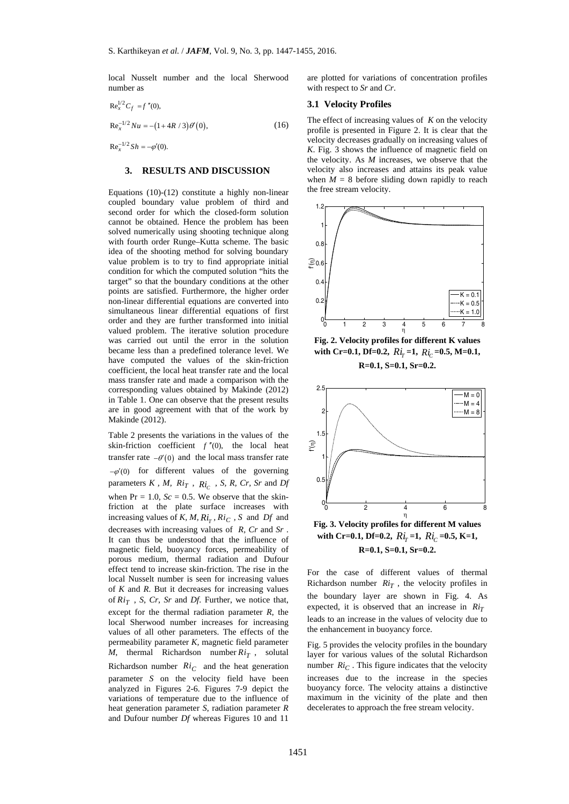local Nusselt number and the local Sherwood number as

$$
\mathrm{Re}^{1/2}_x C_f = f''(0),
$$

$$
Re_x^{-1/2}Nu = -(1 + 4R/3)\theta'(0),
$$
 (16)

 $Re<sub>x</sub><sup>-1/2</sup> Sh = -\varphi'(0).$ 

#### **3. RESULTS AND DISCUSSION**

Equations (10)-(12) constitute a highly non-linear coupled boundary value problem of third and second order for which the closed-form solution cannot be obtained. Hence the problem has been solved numerically using shooting technique along with fourth order Runge–Kutta scheme. The basic idea of the shooting method for solving boundary value problem is to try to find appropriate initial condition for which the computed solution "hits the target" so that the boundary conditions at the other points are satisfied. Furthermore, the higher order non-linear differential equations are converted into simultaneous linear differential equations of first order and they are further transformed into initial valued problem. The iterative solution procedure was carried out until the error in the solution became less than a predefined tolerance level. We have computed the values of the skin-friction coefficient, the local heat transfer rate and the local mass transfer rate and made a comparison with the corresponding values obtained by Makinde (2012) in Table 1. One can observe that the present results are in good agreement with that of the work by Makinde (2012).

Table 2 presents the variations in the values of the skin-friction coefficient  $f''(0)$ , the local heat transfer rate  $-\theta'(0)$  and the local mass transfer rate  $-\varphi'(0)$  for different values of the governing parameters  $K$ ,  $M$ ,  $Ri_T$ ,  $Ri_C$ ,  $S$ ,  $R$ ,  $Cr$ ,  $Sr$  and  $Df$ when  $Pr = 1.0$ ,  $Sc = 0.5$ . We observe that the skinfriction at the plate surface increases with increasing values of *K, M, Ri<sub>r</sub>, Ri<sub>C</sub>, S* and *Df* and decreases with increasing values of *R, Cr* and *Sr* . It can thus be understood that the influence of magnetic field, buoyancy forces, permeability of porous medium, thermal radiation and Dufour effect tend to increase skin-friction. The rise in the local Nusselt number is seen for increasing values of *K* and *R*. But it decreases for increasing values of  $Ri_T$ , *S*, *Cr*, *Sr* and *Df*. Further, we notice that, except for the thermal radiation parameter *R*, the local Sherwood number increases for increasing values of all other parameters. The effects of the permeability parameter *K,* magnetic field parameter *M*, thermal Richardson number  $R i_T$ , solutal Richardson number  $Ri_C$  and the heat generation parameter *S* on the velocity field have been analyzed in Figures 2-6. Figures 7-9 depict the variations of temperature due to the influence of heat generation parameter *S*, radiation parameter *R*  and Dufour number *Df* whereas Figures 10 and 11

are plotted for variations of concentration profiles with respect to *Sr* and *Cr*.

#### **3.1 Velocity Profiles**

The effect of increasing values of *K* on the velocity profile is presented in Figure 2. It is clear that the velocity decreases gradually on increasing values of *K*. Fig. 3 shows the influence of magnetic field on the velocity. As *M* increases, we observe that the velocity also increases and attains its peak value when  $M = 8$  before sliding down rapidly to reach the free stream velocity.



**Fig. 2. Velocity profiles for different K values**  with Cr=0.1, Df=0.2,  $Ri_r = 1$ ,  $Ri_c = 0.5$ , M=0.1, **R=0.1, S=0.1, Sr=0.2.** 



with Cr=0.1, Df=0.2,  $Ri_r = 1$ ,  $Ri_c = 0.5$ , K=1, **R=0.1, S=0.1, Sr=0.2.** 

For the case of different values of thermal Richardson number  $Ri_T$ , the velocity profiles in the boundary layer are shown in Fig. 4. As expected, it is observed that an increase in  $Ri_T$ leads to an increase in the values of velocity due to the enhancement in buoyancy force.

Fig. 5 provides the velocity profiles in the boundary layer for various values of the solutal Richardson number  $Ric$ . This figure indicates that the velocity increases due to the increase in the species buoyancy force. The velocity attains a distinctive maximum in the vicinity of the plate and then decelerates to approach the free stream velocity.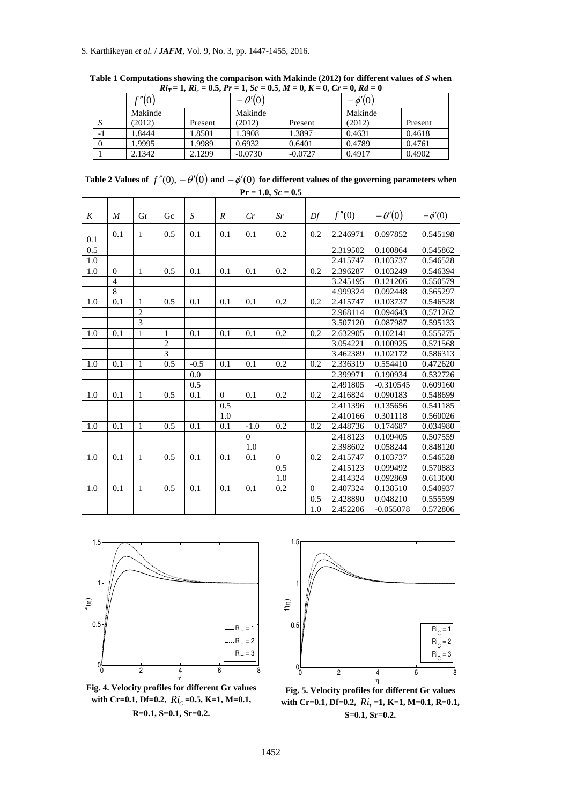# S. Karthikeyan *et al.* / *JAFM*, Vol. 9, No. 3, pp. 1447-1455, 2016.

| $101 - 1$ , $101 - 000$ , $11 - 100 = 000$ , $11 - 0$ , $11 - 00 = 0$ , $100 - 0$ |               |         |               |           |             |         |  |  |  |
|-----------------------------------------------------------------------------------|---------------|---------|---------------|-----------|-------------|---------|--|--|--|
|                                                                                   | $\gamma''(0)$ |         | $-\theta'(0)$ |           | $-\phi'(0)$ |         |  |  |  |
|                                                                                   | Makinde       |         | Makinde       |           | Makinde     |         |  |  |  |
| د،                                                                                | (2012)        | Present | (2012)        | Present   | (2012)      | Present |  |  |  |
| - 1                                                                               | 1.8444        | 1.8501  | 1.3908        | 1.3897    | 0.4631      | 0.4618  |  |  |  |
|                                                                                   | 1.9995        | 1.9989  | 0.6932        | 0.6401    | 0.4789      | 0.4761  |  |  |  |
|                                                                                   | 2.1342        | 2.1299  | $-0.0730$     | $-0.0727$ | 0.4917      | 0.4902  |  |  |  |

**Table 1 Computations showing the comparison with Makinde (2012) for different values of** *S* **when**   $Ri_T = 1$ ,  $Ri_c = 0.5$ ,  $Pr = 1$ ,  $Sc = 0.5$ ,  $M = 0$ ,  $K = 0$ ,  $Cr = 0$ ,  $Rd = 0$ 

Table 2 Values of  $f''(0)$ ,  $-\theta'(0)$  and  $-\phi'(0)$  for different values of the governing parameters when  $Pr = 1.0, Sc = 0.5$ 

| K   | $\boldsymbol{M}$ | Gr             | Gc             | S      | $\boldsymbol{R}$ | Cr       | Sr             | Df       | f''(0)   | $-\theta'(0)$ | $-\phi'(0)$ |
|-----|------------------|----------------|----------------|--------|------------------|----------|----------------|----------|----------|---------------|-------------|
| 0.1 | 0.1              | 1              | 0.5            | 0.1    | 0.1              | 0.1      | 0.2            | 0.2      | 2.246971 | 0.097852      | 0.545198    |
| 0.5 |                  |                |                |        |                  |          |                |          | 2.319502 | 0.100864      | 0.545862    |
| 1.0 |                  |                |                |        |                  |          |                |          | 2.415747 | 0.103737      | 0.546528    |
| 1.0 | $\Omega$         | $\mathbf{1}$   | 0.5            | 0.1    | 0.1              | 0.1      | 0.2            | 0.2      | 2.396287 | 0.103249      | 0.546394    |
|     | $\overline{4}$   |                |                |        |                  |          |                |          | 3.245195 | 0.121206      | 0.550579    |
|     | 8                |                |                |        |                  |          |                |          | 4.999324 | 0.092448      | 0.565297    |
| 1.0 | 0.1              | $\mathbf{1}$   | 0.5            | 0.1    | 0.1              | 0.1      | $0.2\,$        | 0.2      | 2.415747 | 0.103737      | 0.546528    |
|     |                  | $\overline{2}$ |                |        |                  |          |                |          | 2.968114 | 0.094643      | 0.571262    |
|     |                  | $\overline{3}$ |                |        |                  |          |                |          | 3.507120 | 0.087987      | 0.595133    |
| 1.0 | 0.1              | 1              | $\mathbf{1}$   | 0.1    | 0.1              | 0.1      | 0.2            | 0.2      | 2.632905 | 0.102141      | 0.555275    |
|     |                  |                | $\overline{2}$ |        |                  |          |                |          | 3.054221 | 0.100925      | 0.571568    |
|     |                  |                | 3              |        |                  |          |                |          | 3.462389 | 0.102172      | 0.586313    |
| 1.0 | 0.1              | $\mathbf{1}$   | 0.5            | $-0.5$ | 0.1              | 0.1      | 0.2            | 0.2      | 2.336319 | 0.554410      | 0.472620    |
|     |                  |                |                | 0.0    |                  |          |                |          | 2.399971 | 0.190934      | 0.532726    |
|     |                  |                |                | 0.5    |                  |          |                |          | 2.491805 | $-0.310545$   | 0.609160    |
| 1.0 | 0.1              | $\mathbf{1}$   | 0.5            | 0.1    | $\Omega$         | 0.1      | 0.2            | 0.2      | 2.416824 | 0.090183      | 0.548699    |
|     |                  |                |                |        | 0.5              |          |                |          | 2.411396 | 0.135656      | 0.541185    |
|     |                  |                |                |        | 1.0              |          |                |          | 2.410166 | 0.301118      | 0.560026    |
| 1.0 | 0.1              | $\mathbf{1}$   | 0.5            | 0.1    | 0.1              | $-1.0$   | 0.2            | 0.2      | 2.448736 | 0.174687      | 0.034980    |
|     |                  |                |                |        |                  | $\theta$ |                |          | 2.418123 | 0.109405      | 0.507559    |
|     |                  |                |                |        |                  | 1.0      |                |          | 2.398602 | 0.058244      | 0.848120    |
| 1.0 | 0.1              | $\mathbf{1}$   | 0.5            | 0.1    | 0.1              | 0.1      | $\overline{0}$ | 0.2      | 2.415747 | 0.103737      | 0.546528    |
|     |                  |                |                |        |                  |          | 0.5            |          | 2.415123 | 0.099492      | 0.570883    |
|     |                  |                |                |        |                  |          | 1.0            |          | 2.414324 | 0.092869      | 0.613600    |
| 1.0 | 0.1              | $\mathbf{1}$   | 0.5            | 0.1    | 0.1              | 0.1      | 0.2            | $\Omega$ | 2.407324 | 0.138510      | 0.540937    |
|     |                  |                |                |        |                  |          |                | 0.5      | 2.428890 | 0.048210      | 0.555599    |
|     |                  |                |                |        |                  |          |                | 1.0      | 2.452206 | $-0.055078$   | 0.572806    |



**Fig. 4. Velocity profiles for different Gr values**  with Cr=0.1, Df=0.2,  $Ri_C = 0.5$ , K=1, M=0.1, **R=0.1, S=0.1, Sr=0.2.** 



**Fig. 5. Velocity profiles for different Gc values**  with Cr=0.1, Df=0.2,  $Ri_T = 1$ , K=1, M=0.1, R=0.1, **S=0.1, Sr=0.2.**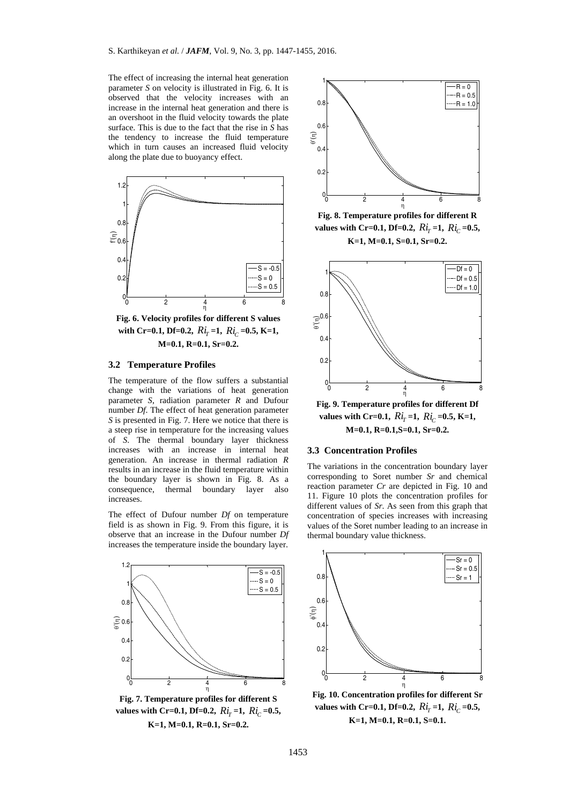The effect of increasing the internal heat generation parameter *S* on velocity is illustrated in Fig. 6. It is observed that the velocity increases with an increase in the internal heat generation and there is an overshoot in the fluid velocity towards the plate surface. This is due to the fact that the rise in *S* has the tendency to increase the fluid temperature which in turn causes an increased fluid velocity along the plate due to buoyancy effect.



**Fig. 6. Velocity profiles for different S values**  with Cr=0.1, Df=0.2,  $Ri_r = 1$ ,  $Ri_c = 0.5$ , K=1, **M=0.1, R=0.1, Sr=0.2.** 

## **3.2 Temperature Profiles**

The temperature of the flow suffers a substantial change with the variations of heat generation parameter *S*, radiation parameter *R* and Dufour number *Df*. The effect of heat generation parameter *S* is presented in Fig. 7. Here we notice that there is a steep rise in temperature for the increasing values of *S*. The thermal boundary layer thickness increases with an increase in internal heat generation. An increase in thermal radiation *R*  results in an increase in the fluid temperature within the boundary layer is shown in Fig. 8. As a consequence, thermal boundary layer also increases.

The effect of Dufour number *Df* on temperature field is as shown in Fig. 9. From this figure, it is observe that an increase in the Dufour number *Df*  increases the temperature inside the boundary layer.



**Fig. 7. Temperature profiles for different S values with Cr=0.1, Df=0.2,**  $Ri_r = 1$ ,  $Ri_c = 0.5$ , **K=1, M=0.1, R=0.1, Sr=0.2.** 



**Fig. 8. Temperature profiles for different R values with Cr=0.1, Df=0.2,**  $Ri_r = 1$ ,  $Ri_c = 0.5$ , **K=1, M=0.1, S=0.1, Sr=0.2.** 



**Fig. 9. Temperature profiles for different Df values with Cr=0.1,**  $Ri_r = 1$ ,  $Ri_c = 0.5$ , K=1, **M=0.1, R=0.1,S=0.1, Sr=0.2.** 

## **3.3 Concentration Profiles**

The variations in the concentration boundary layer corresponding to Soret number *Sr* and chemical reaction parameter *Cr* are depicted in Fig. 10 and 11. Figure 10 plots the concentration profiles for different values of *Sr*. As seen from this graph that concentration of species increases with increasing values of the Soret number leading to an increase in thermal boundary value thickness.



**Fig. 10. Concentration profiles for different Sr values with Cr=0.1, Df=0.2,**  $Ri_T = 1$ ,  $Ri_C = 0.5$ , **K=1, M=0.1, R=0.1, S=0.1.**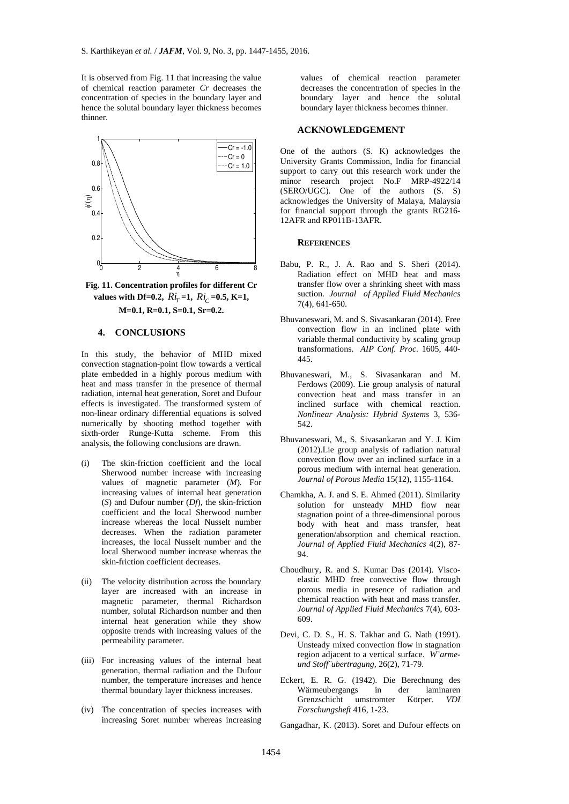It is observed from Fig. 11 that increasing the value of chemical reaction parameter *Cr* decreases the concentration of species in the boundary layer and hence the solutal boundary layer thickness becomes thinner.



**Fig. 11. Concentration profiles for different Cr values with Df=0.2,**  $Ri_r = 1$ ,  $Ri_c = 0.5$ , K=1, **M=0.1, R=0.1, S=0.1, Sr=0.2.** 

## **4. CONCLUSIONS**

In this study, the behavior of MHD mixed convection stagnation-point flow towards a vertical plate embedded in a highly porous medium with heat and mass transfer in the presence of thermal radiation, internal heat generation, Soret and Dufour effects is investigated. The transformed system of non-linear ordinary differential equations is solved numerically by shooting method together with sixth-order Runge-Kutta scheme. From this analysis, the following conclusions are drawn.

- (i) The skin-friction coefficient and the local Sherwood number increase with increasing values of magnetic parameter (*M*)*.* For increasing values of internal heat generation (*S*) and Dufour number (*Df*), the skin-friction coefficient and the local Sherwood number increase whereas the local Nusselt number decreases. When the radiation parameter increases, the local Nusselt number and the local Sherwood number increase whereas the skin-friction coefficient decreases.
- (ii) The velocity distribution across the boundary layer are increased with an increase in magnetic parameter, thermal Richardson number, solutal Richardson number and then internal heat generation while they show opposite trends with increasing values of the permeability parameter.
- (iii) For increasing values of the internal heat generation, thermal radiation and the Dufour number, the temperature increases and hence thermal boundary layer thickness increases.
- (iv) The concentration of species increases with increasing Soret number whereas increasing

values of chemical reaction parameter decreases the concentration of species in the boundary layer and hence the solutal boundary layer thickness becomes thinner.

## **ACKNOWLEDGEMENT**

One of the authors (S. K) acknowledges the University Grants Commission, India for financial support to carry out this research work under the minor research project No.F MRP-4922/14 (SERO/UGC). One of the authors (S. S) acknowledges the University of Malaya, Malaysia for financial support through the grants RG216- 12AFR and RP011B-13AFR.

#### **REFERENCES**

- Babu, P. R., J. A. Rao and S. Sheri (2014). Radiation effect on MHD heat and mass transfer flow over a shrinking sheet with mass suction. *Journal of Applied Fluid Mechanics* 7(4), 641-650.
- Bhuvaneswari, M. and S. Sivasankaran (2014). Free convection flow in an inclined plate with variable thermal conductivity by scaling group transformations. *AIP Conf. Proc.* 1605, 440- 445.
- Bhuvaneswari, M., S. Sivasankaran and M. Ferdows (2009). Lie group analysis of natural convection heat and mass transfer in an inclined surface with chemical reaction. *Nonlinear Analysis: Hybrid Systems* 3, 536- 542.
- Bhuvaneswari, M., S. Sivasankaran and Y. J. Kim (2012).Lie group analysis of radiation natural convection flow over an inclined surface in a porous medium with internal heat generation. *Journal of Porous Media* 15(12), 1155-1164.
- Chamkha, A. J. and S. E. Ahmed (2011). Similarity solution for unsteady MHD flow near stagnation point of a three-dimensional porous body with heat and mass transfer, heat generation/absorption and chemical reaction. *Journal of Applied Fluid Mechanics* 4(2), 87- 94.
- Choudhury, R. and S. Kumar Das (2014). Viscoelastic MHD free convective flow through porous media in presence of radiation and chemical reaction with heat and mass transfer. *Journal of Applied Fluid Mechanics* 7(4), 603- 609.
- Devi, C. D. S., H. S. Takhar and G. Nath (1991). Unsteady mixed convection flow in stagnation region adjacent to a vertical surface. *W¨armeund Stoff¨ubertragung*, 26(2), 71-79.
- Eckert, E. R. G. (1942). Die Berechnung des Wärmeubergangs in der laminaren Grenzschicht umstromter Körper. *VDI Forschungsheft* 416, 1-23.
- Gangadhar, K. (2013). Soret and Dufour effects on